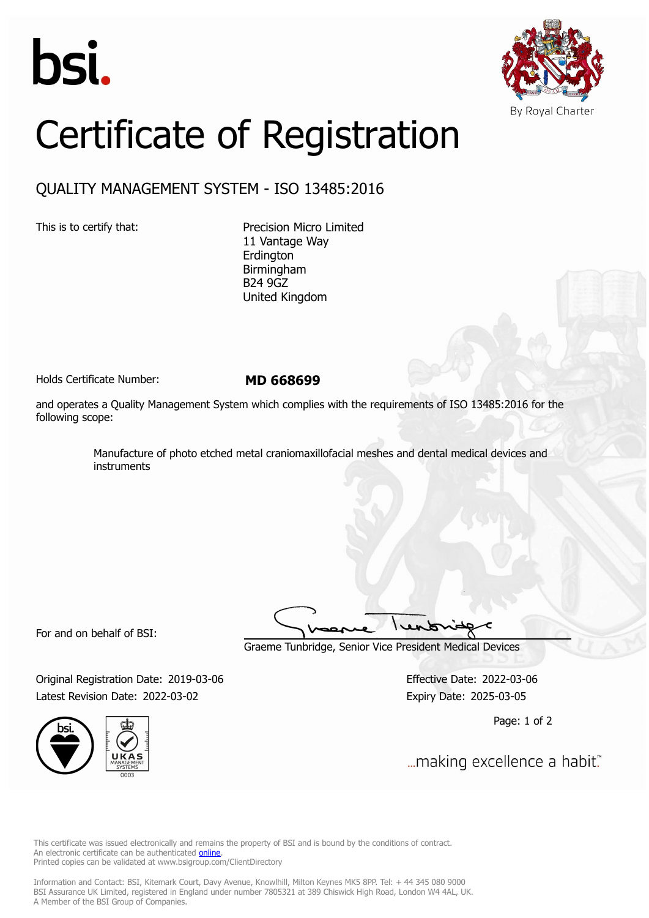



## Certificate of Registration

## QUALITY MANAGEMENT SYSTEM - ISO 13485:2016

This is to certify that: Precision Micro Limited 11 Vantage Way Erdington Birmingham B24 9GZ United Kingdom

Holds Certificate Number: **MD 668699**

and operates a Quality Management System which complies with the requirements of ISO 13485:2016 for the following scope:

> Manufacture of photo etched metal craniomaxillofacial meshes and dental medical devices and instruments

For and on behalf of BSI:

Graeme Tunbridge, Senior Vice President Medical Devices

Original Registration Date: 2019-03-06 Effective Date: 2022-03-06 Latest Revision Date: 2022-03-02 **Expiry Date: 2025-03-05** 



Page: 1 of 2

... making excellence a habit."

This certificate was issued electronically and remains the property of BSI and is bound by the conditions of contract. An electronic certificate can be authenticated **[online](https://pgplus.bsigroup.com/CertificateValidation/CertificateValidator.aspx?CertificateNumber=MD+668699&ReIssueDate=02%2f03%2f2022&Template=uk)**. Printed copies can be validated at www.bsigroup.com/ClientDirectory

Information and Contact: BSI, Kitemark Court, Davy Avenue, Knowlhill, Milton Keynes MK5 8PP. Tel: + 44 345 080 9000 BSI Assurance UK Limited, registered in England under number 7805321 at 389 Chiswick High Road, London W4 4AL, UK. A Member of the BSI Group of Companies.